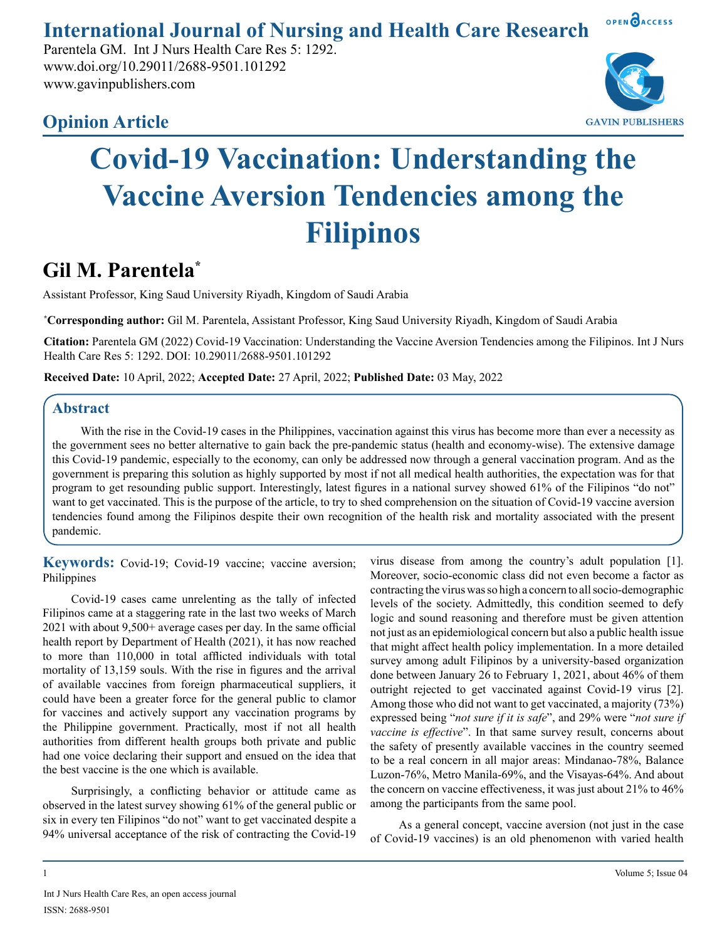**International Journal of Nursing and Health Care Research**

Parentela GM. Int J Nurs Health Care Res 5: 1292. www.doi.org/10.29011/2688-9501.101292 www.gavinpublishers.com





OPEN OACCESS

## **Covid-19 Vaccination: Understanding the Vaccine Aversion Tendencies among the Filipinos**

## **Gil M. Parentela\***

Assistant Professor, King Saud University Riyadh, Kingdom of Saudi Arabia

**\* Corresponding author:** Gil M. Parentela, Assistant Professor, King Saud University Riyadh, Kingdom of Saudi Arabia

**Citation:** Parentela GM (2022) Covid-19 Vaccination: Understanding the Vaccine Aversion Tendencies among the Filipinos. Int J Nurs Health Care Res 5: 1292. DOI: 10.29011/2688-9501.101292

**Received Date:** 10 April, 2022; **Accepted Date:** 27 April, 2022; **Published Date:** 03 May, 2022

## **Abstract**

With the rise in the Covid-19 cases in the Philippines, vaccination against this virus has become more than ever a necessity as the government sees no better alternative to gain back the pre-pandemic status (health and economy-wise). The extensive damage this Covid-19 pandemic, especially to the economy, can only be addressed now through a general vaccination program. And as the government is preparing this solution as highly supported by most if not all medical health authorities, the expectation was for that program to get resounding public support. Interestingly, latest figures in a national survey showed 61% of the Filipinos "do not" want to get vaccinated. This is the purpose of the article, to try to shed comprehension on the situation of Covid-19 vaccine aversion tendencies found among the Filipinos despite their own recognition of the health risk and mortality associated with the present pandemic.

**Keywords:** Covid-19; Covid-19 vaccine; vaccine aversion; Philippines

Covid-19 cases came unrelenting as the tally of infected Filipinos came at a staggering rate in the last two weeks of March 2021 with about 9,500+ average cases per day. In the same official health report by Department of Health (2021), it has now reached to more than 110,000 in total afflicted individuals with total mortality of 13,159 souls. With the rise in figures and the arrival of available vaccines from foreign pharmaceutical suppliers, it could have been a greater force for the general public to clamor for vaccines and actively support any vaccination programs by the Philippine government. Practically, most if not all health authorities from different health groups both private and public had one voice declaring their support and ensued on the idea that the best vaccine is the one which is available.

Surprisingly, a conflicting behavior or attitude came as observed in the latest survey showing 61% of the general public or six in every ten Filipinos "do not" want to get vaccinated despite a 94% universal acceptance of the risk of contracting the Covid-19 virus disease from among the country's adult population [1]. Moreover, socio-economic class did not even become a factor as contracting the virus was so high a concern to all socio-demographic levels of the society. Admittedly, this condition seemed to defy logic and sound reasoning and therefore must be given attention not just as an epidemiological concern but also a public health issue that might affect health policy implementation. In a more detailed survey among adult Filipinos by a university-based organization done between January 26 to February 1, 2021, about 46% of them outright rejected to get vaccinated against Covid-19 virus [2]. Among those who did not want to get vaccinated, a majority (73%) expressed being "*not sure if it is safe*", and 29% were "*not sure if vaccine is effective*". In that same survey result, concerns about the safety of presently available vaccines in the country seemed to be a real concern in all major areas: Mindanao-78%, Balance Luzon-76%, Metro Manila-69%, and the Visayas-64%. And about the concern on vaccine effectiveness, it was just about 21% to 46% among the participants from the same pool.

As a general concept, vaccine aversion (not just in the case of Covid-19 vaccines) is an old phenomenon with varied health